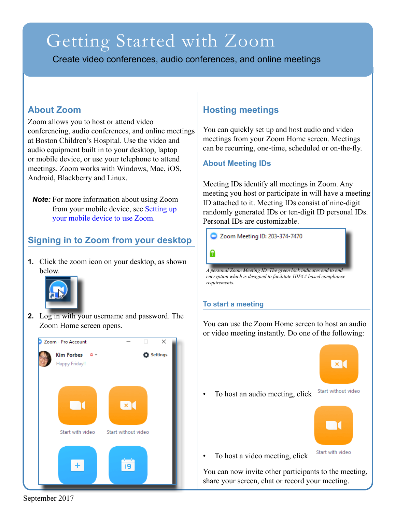# Getting Started with Zoom

Create video conferences, audio conferences, and online meetings

## **About Zoom**

Zoom allows you to host or attend video conferencing, audio conferences, and online meetings at Boston Children's Hospital. Use the video and audio equipment built in to your desktop, laptop or mobile device, or use your telephone to attend meetings. Zoom works with Windows, Mac, iOS, Android, Blackberry and Linux.

*Note:* For more information about using Zoom from your mobile device, see Setting up your mobile device to use Zoom.

# **Signing in to Zoom from your desktop**

**1.** Click the zoom icon on your desktop, as shown below.



**2.** Log in with your username and password. The Zoom Home screen opens.

# Zoom - Pro Account  $\overline{\mathsf{x}}$ Kim Forbes  $Q \neq$ **D** Settings Happy Friday!!  $\times$  [ Start with video Start without video  $+$ 19

# **Hosting meetings**

You can quickly set up and host audio and video meetings from your Zoom Home screen. Meetings can be recurring, one-time, scheduled or on-the-fly.

#### **About Meeting IDs**

Meeting IDs identify all meetings in Zoom. Any meeting you host or participate in will have a meeting ID attached to it. Meeting IDs consist of nine-digit randomly generated IDs or ten-digit ID personal IDs. Personal IDs are customizable.

Zoom Meeting ID: 203-374-7470

8

*A personal Zoom Meeting ID. The green lock indicates end to end encryption which is designed to facilitate HIPAA based compliance requirements.*

#### **To start a meeting**

You can use the Zoom Home screen to host an audio or video meeting instantly. Do one of the following:



• To host an audio meeting, click





• To host a video meeting, click

You can now invite other participants to the meeting, share your screen, chat or record your meeting.

September 2017